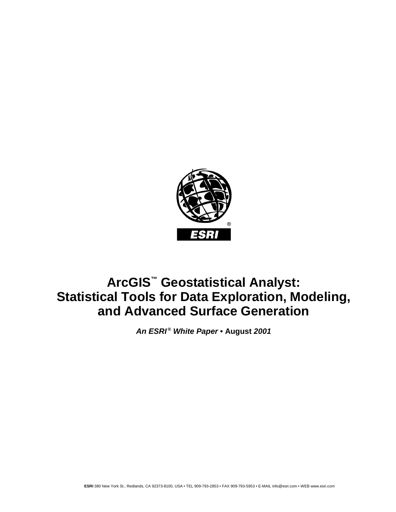

# **ArcGIS™ Geostatistical Analyst: Statistical Tools for Data Exploration, Modeling, and Advanced Surface Generation**

*An ESRI ® White Paper* **• August** *2001*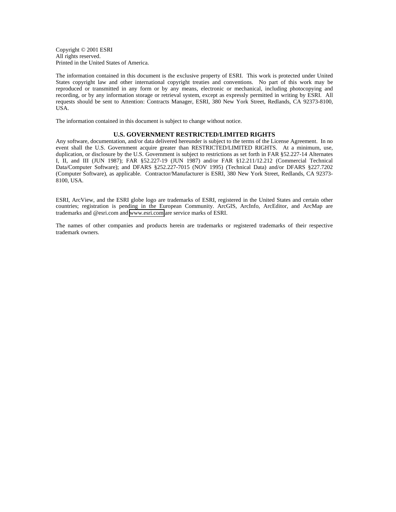Copyright © 2001 ESRI All rights reserved. Printed in the United States of America.

The information contained in this document is the exclusive property of ESRI. This work is protected under United States copyright law and other international copyright treaties and conventions. No part of this work may be reproduced or transmitted in any form or by any means, electronic or mechanical, including photocopying and recording, or by any information storage or retrieval system, except as expressly permitted in writing by ESRI. All requests should be sent to Attention: Contracts Manager, ESRI, 380 New York Street, Redlands, CA 92373-8100, USA.

The information contained in this document is subject to change without notice.

#### **U.S. GOVERNMENT RESTRICTED/LIMITED RIGHTS**

Any software, documentation, and/or data delivered hereunder is subject to the terms of the License Agreement. In no event shall the U.S. Government acquire greater than RESTRICTED/LIMITED RIGHTS. At a minimum, use, duplication, or disclosure by the U.S. Government is subject to restrictions as set forth in FAR §52.227-14 Alternates I, II, and III (JUN 1987); FAR §52.227-19 (JUN 1987) and/or FAR §12.211/12.212 (Commercial Technical Data/Computer Software); and DFARS §252.227-7015 (NOV 1995) (Technical Data) and/or DFARS §227.7202 (Computer Software), as applicable. Contractor/Manufacturer is ESRI, 380 New York Street, Redlands, CA 92373- 8100, USA.

ESRI, ArcView, and the ESRI globe logo are trademarks of ESRI, registered in the United States and certain other countries; registration is pending in the European Community. ArcGIS, ArcInfo, ArcEditor, and ArcMap are trademarks and @esri.com and [www.esri.com](http://www.esri.com/) are service marks of ESRI.

The names of other companies and products herein are trademarks or registered trademarks of their respective trademark owners.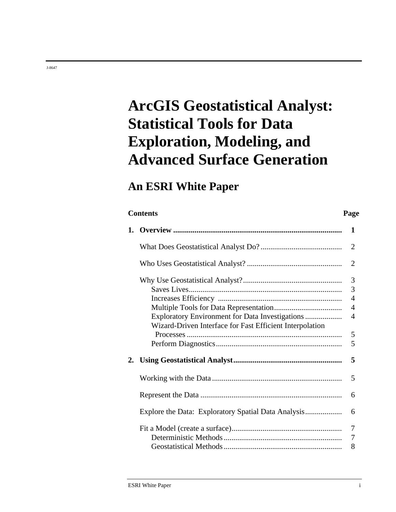# **ArcGIS Geostatistical Analyst: Statistical Tools for Data Exploration, Modeling, and Advanced Surface Generation**

# **An ESRI White Paper**

## **Contents Page 1. Overview ....................................................................................... 1**  What Does Geostatistical Analyst Do? .......................................... 2 Who Uses Geostatistical Analyst? ................................................. 2 Why Use Geostatistical Analyst?................................................... 3 Saves Lives............................................................................... 3 Increases Efficiency ................................................................ 4 Multiple Tools for Data Representation................................... 4 Exploratory Environment for Data Investigations ................... 4 Wizard-Driven Interface for Fast Efficient Interpolation Processes ................................................................................ 5 Perform Diagnostics................................................................. 5 **2. Using Geostatistical Analyst........................................................ 5**  Working with the Data ................................................................... 5 Represent the Data ......................................................................... 6 Explore the Data: Exploratory Spatial Data Analysis................... 6 Fit a Model (create a surface)......................................................... 7 Deterministic Methods ............................................................. 7 Geostatistical Methods ............................................................. 8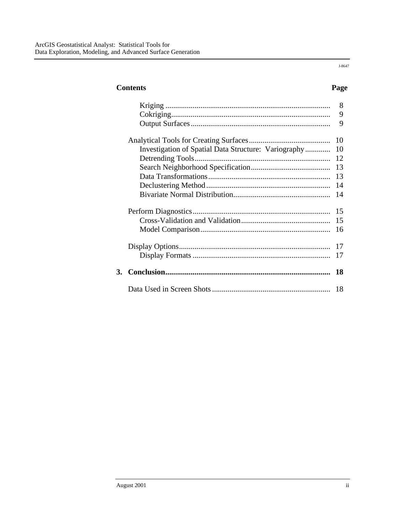J-8647

## **Contents Page**

|    |                                                      | 8<br>9<br>9 |
|----|------------------------------------------------------|-------------|
|    |                                                      | 10          |
|    | Investigation of Spatial Data Structure: Variography | 10          |
|    |                                                      | 12          |
|    |                                                      | 13          |
|    |                                                      | 13          |
|    |                                                      | 14          |
|    |                                                      | 14          |
|    |                                                      |             |
|    |                                                      | 15          |
|    |                                                      | 15          |
|    |                                                      | 16          |
|    |                                                      | 17          |
|    |                                                      |             |
|    |                                                      | 17          |
| 3. |                                                      | 18          |
|    |                                                      | 18          |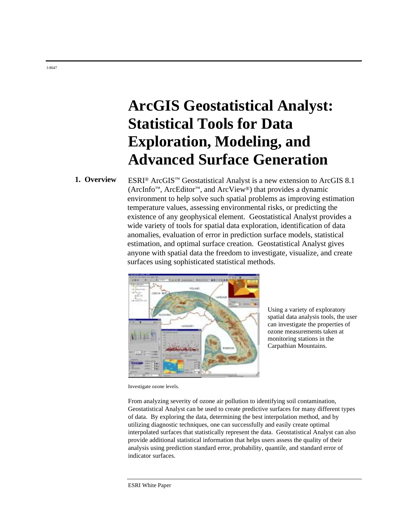# **ArcGIS Geostatistical Analyst: Statistical Tools for Data Exploration, Modeling, and Advanced Surface Generation**

**1. Overview** ESRI<sup>®</sup> ArcGIS™ Geostatistical Analyst is a new extension to ArcGIS 8.1 (ArcInfo™, ArcEditor™, and ArcView®) that provides a dynamic environment to help solve such spatial problems as improving estimation temperature values, assessing environmental risks, or predicting the existence of any geophysical element. Geostatistical Analyst provides a wide variety of tools for spatial data exploration, identification of data anomalies, evaluation of error in prediction surface models, statistical estimation, and optimal surface creation. Geostatistical Analyst gives anyone with spatial data the freedom to investigate, visualize, and create surfaces using sophisticated statistical methods.



Using a variety of exploratory spatial data analysis tools, the user can investigate the properties of ozone measurements taken at monitoring stations in the Carpathian Mountains.

Investigate ozone levels.

From analyzing severity of ozone air pollution to identifying soil contamination, Geostatistical Analyst can be used to create predictive surfaces for many different types of data. By exploring the data, determining the best interpolation method, and by utilizing diagnostic techniques, one can successfully and easily create optimal interpolated surfaces that statistically represent the data. Geostatistical Analyst can also provide additional statistical information that helps users assess the quality of their analysis using prediction standard error, probability, quantile, and standard error of indicator surfaces.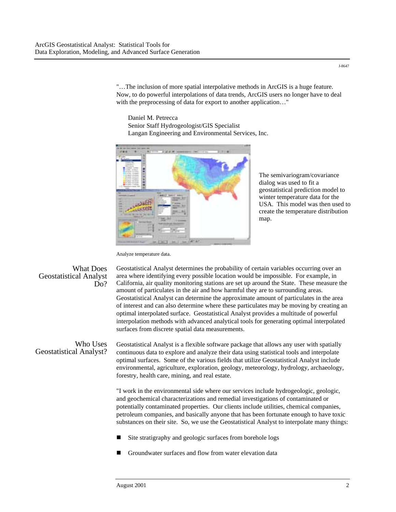"…The inclusion of more spatial interpolative methods in ArcGIS is a huge feature. Now, to do powerful interpolations of data trends, ArcGIS users no longer have to deal with the preprocessing of data for export to another application..."

Daniel M. Petrecca Senior Staff Hydrogeologist/GIS Specialist Langan Engineering and Environmental Services, Inc.



The semivariogram/covariance dialog was used to fit a geostatistical prediction model to winter temperature data for the USA. This model was then used to create the temperature distribution map.

Analyze temperature data.

| <b>What Does</b><br><b>Geostatistical Analyst</b><br>Do? | Geostatistical Analyst determines the probability of certain variables occurring over an<br>area where identifying every possible location would be impossible. For example, in<br>California, air quality monitoring stations are set up around the State. These measure the<br>amount of particulates in the air and how harmful they are to surrounding areas.<br>Geostatistical Analyst can determine the approximate amount of particulates in the area<br>of interest and can also determine where these particulates may be moving by creating an<br>optimal interpolated surface. Geostatistical Analyst provides a multitude of powerful<br>interpolation methods with advanced analytical tools for generating optimal interpolated<br>surfaces from discrete spatial data measurements. |
|----------------------------------------------------------|----------------------------------------------------------------------------------------------------------------------------------------------------------------------------------------------------------------------------------------------------------------------------------------------------------------------------------------------------------------------------------------------------------------------------------------------------------------------------------------------------------------------------------------------------------------------------------------------------------------------------------------------------------------------------------------------------------------------------------------------------------------------------------------------------|
| Who Uses<br><b>Geostatistical Analyst?</b>               | Geostatistical Analyst is a flexible software package that allows any user with spatially<br>continuous data to explore and analyze their data using statistical tools and interpolate<br>optimal surfaces. Some of the various fields that utilize Geostatistical Analyst include<br>environmental, agriculture, exploration, geology, meteorology, hydrology, archaeology,<br>forestry, health care, mining, and real estate.<br>"I work in the environmental side where our services include hydrogeologic, geologic,                                                                                                                                                                                                                                                                           |

and geochemical characterizations and remedial investigations of contaminated or potentially contaminated properties. Our clients include utilities, chemical companies, petroleum companies, and basically anyone that has been fortunate enough to have toxic substances on their site. So, we use the Geostatistical Analyst to interpolate many things:

- **EXECUTE:** Site stratigraphy and geologic surfaces from borehole logs
- Groundwater surfaces and flow from water elevation data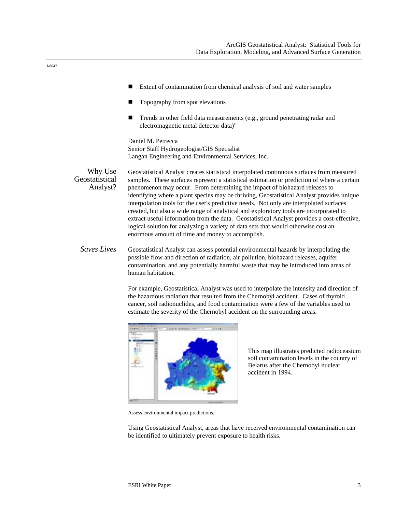- Extent of contamination from chemical analysis of soil and water samples
- ! Topography from spot elevations
- ! Trends in other field data measurements (e.g., ground penetrating radar and electromagnetic metal detector data)"

Daniel M. Petrecca Senior Staff Hydrogeologist/GIS Specialist Langan Engineering and Environmental Services, Inc.

Why Use Geostatistical Analyst? Geostatistical Analyst creates statistical interpolated continuous surfaces from measured samples. These surfaces represent a statistical estimation or prediction of where a certain phenomenon may occur. From determining the impact of biohazard releases to identifying where a plant species may be thriving, Geostatistical Analyst provides unique interpolation tools for the user's predictive needs. Not only are interpolated surfaces created, but also a wide range of analytical and exploratory tools are incorporated to extract useful information from the data. Geostatistical Analyst provides a cost-effective, logical solution for analyzing a variety of data sets that would otherwise cost an enormous amount of time and money to accomplish.

*Saves Lives* Geostatistical Analyst can assess potential environmental hazards by interpolating the possible flow and direction of radiation, air pollution, biohazard releases, aquifer contamination, and any potentially harmful waste that may be introduced into areas of human habitation.

> For example, Geostatistical Analyst was used to interpolate the intensity and direction of the hazardous radiation that resulted from the Chernobyl accident. Cases of thyroid cancer, soil radionuclides, and food contamination were a few of the variables used to estimate the severity of the Chernobyl accident on the surrounding areas.



This map illustrates predicted radioceasium soil contamination levels in the country of Belarus after the Chernobyl nuclear accident in 1994.

Assess environmental impact predictions.

Using Geostatistical Analyst, areas that have received environmental contamination can be identified to ultimately prevent exposure to health risks.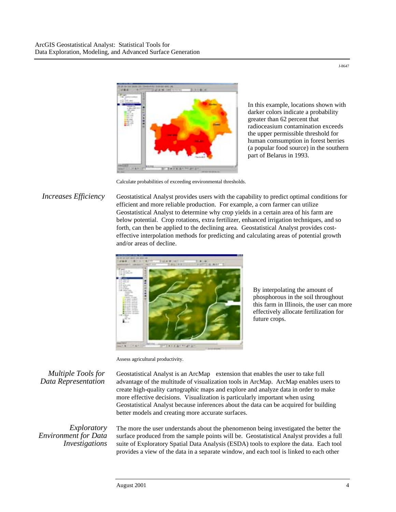

In this example, locations shown with darker colors indicate a probability greater than 62 percent that radioceasium contamination exceeds the upper permissible threshold for human comsumption in forest berries (a popular food source) in the southern part of Belarus in 1993.

Calculate probabilities of exceeding environmental thresholds.

*Increases Efficiency* Geostatistical Analyst provides users with the capability to predict optimal conditions for efficient and more reliable production. For example, a corn farmer can utilize Geostatistical Analyst to determine why crop yields in a certain area of his farm are below potential. Crop rotations, extra fertilizer, enhanced irrigation techniques, and so forth, can then be applied to the declining area. Geostatistical Analyst provides costeffective interpolation methods for predicting and calculating areas of potential growth and/or areas of decline.



By interpolating the amount of phosphorous in the soil throughout this farm in Illinois, the user can more effectively allocate fertilization for future crops.

Assess agricultural productivity.

*Multiple Tools for Data Representation* 

Geostatistical Analyst is an ArcMap<sup>™</sup> extension that enables the user to take full advantage of the multitude of visualization tools in ArcMap. ArcMap enables users to create high-quality cartographic maps and explore and analyze data in order to make more effective decisions. Visualization is particularly important when using Geostatistical Analyst because inferences about the data can be acquired for building better models and creating more accurate surfaces.

*Exploratory Environment for Data Investigations* 

The more the user understands about the phenomenon being investigated the better the surface produced from the sample points will be. Geostatistical Analyst provides a full suite of Exploratory Spatial Data Analysis (ESDA) tools to explore the data. Each tool provides a view of the data in a separate window, and each tool is linked to each other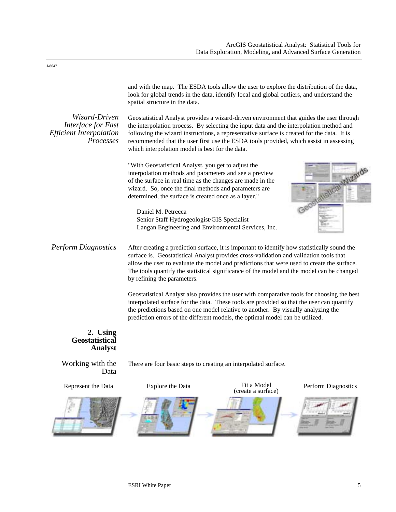|                                                                                    | spatial structure in the data.                                                                                                                                                                                                                                                                                                                                                                                                 | and with the map. The ESDA tools allow the user to explore the distribution of the data,<br>look for global trends in the data, identify local and global outliers, and understand the                                                                                                                                                                        |                            |  |
|------------------------------------------------------------------------------------|--------------------------------------------------------------------------------------------------------------------------------------------------------------------------------------------------------------------------------------------------------------------------------------------------------------------------------------------------------------------------------------------------------------------------------|---------------------------------------------------------------------------------------------------------------------------------------------------------------------------------------------------------------------------------------------------------------------------------------------------------------------------------------------------------------|----------------------------|--|
| Wizard-Driven<br>Interface for Fast<br><b>Efficient Interpolation</b><br>Processes | Geostatistical Analyst provides a wizard-driven environment that guides the user through<br>the interpolation process. By selecting the input data and the interpolation method and<br>following the wizard instructions, a representative surface is created for the data. It is<br>recommended that the user first use the ESDA tools provided, which assist in assessing<br>which interpolation model is best for the data. |                                                                                                                                                                                                                                                                                                                                                               |                            |  |
|                                                                                    | "With Geostatistical Analyst, you get to adjust the<br>interpolation methods and parameters and see a preview<br>of the surface in real time as the changes are made in the<br>wizard. So, once the final methods and parameters are<br>determined, the surface is created once as a layer."                                                                                                                                   |                                                                                                                                                                                                                                                                                                                                                               | Tical Wizard<br>Geost      |  |
|                                                                                    | Daniel M. Petrecca<br>Senior Staff Hydrogeologist/GIS Specialist                                                                                                                                                                                                                                                                                                                                                               | Langan Engineering and Environmental Services, Inc.                                                                                                                                                                                                                                                                                                           |                            |  |
| <b>Perform Diagnostics</b>                                                         | After creating a prediction surface, it is important to identify how statistically sound the<br>surface is. Geostatistical Analyst provides cross-validation and validation tools that<br>allow the user to evaluate the model and predictions that were used to create the surface.<br>The tools quantify the statistical significance of the model and the model can be changed<br>by refining the parameters.               |                                                                                                                                                                                                                                                                                                                                                               |                            |  |
|                                                                                    |                                                                                                                                                                                                                                                                                                                                                                                                                                | Geostatistical Analyst also provides the user with comparative tools for choosing the best<br>interpolated surface for the data. These tools are provided so that the user can quantify<br>the predictions based on one model relative to another. By visually analyzing the<br>prediction errors of the different models, the optimal model can be utilized. |                            |  |
| 2. Using<br>Geostatistical<br><b>Analyst</b>                                       |                                                                                                                                                                                                                                                                                                                                                                                                                                |                                                                                                                                                                                                                                                                                                                                                               |                            |  |
| Working with the<br>Data                                                           |                                                                                                                                                                                                                                                                                                                                                                                                                                | There are four basic steps to creating an interpolated surface.                                                                                                                                                                                                                                                                                               |                            |  |
| Represent the Data                                                                 | Explore the Data                                                                                                                                                                                                                                                                                                                                                                                                               | Fit a Model<br>(create a surface)                                                                                                                                                                                                                                                                                                                             | <b>Perform Diagnostics</b> |  |
|                                                                                    |                                                                                                                                                                                                                                                                                                                                                                                                                                |                                                                                                                                                                                                                                                                                                                                                               |                            |  |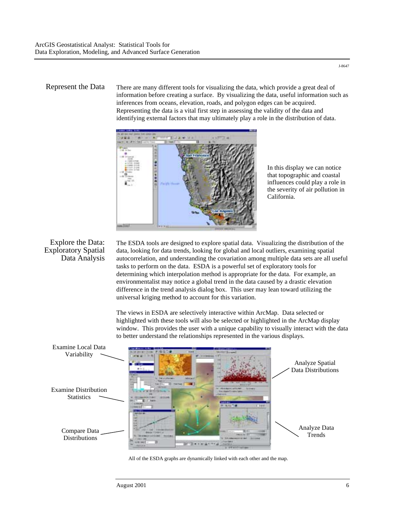#### Represent the Data There are many different tools for visualizing the data, which provide a great deal of information before creating a surface. By visualizing the data, useful information such as inferences from oceans, elevation, roads, and polygon edges can be acquired. Representing the data is a vital first step in assessing the validity of the data and

identifying external factors that may ultimately play a role in the distribution of data.

In this display we can notice that topographic and coastal influences could play a role in the severity of air pollution in California.

## Explore the Data: Exploratory Spatial Data Analysis

The ESDA tools are designed to explore spatial data. Visualizing the distribution of the data, looking for data trends, looking for global and local outliers, examining spatial autocorrelation, and understanding the covariation among multiple data sets are all useful tasks to perform on the data. ESDA is a powerful set of exploratory tools for determining which interpolation method is appropriate for the data. For example, an environmentalist may notice a global trend in the data caused by a drastic elevation difference in the trend analysis dialog box. This user may lean toward utilizing the universal kriging method to account for this variation.

The views in ESDA are selectively interactive within ArcMap. Data selected or highlighted with these tools will also be selected or highlighted in the ArcMap display window. This provides the user with a unique capability to visually interact with the data to better understand the relationships represented in the various displays.



All of the ESDA graphs are dynamically linked with each other and the map.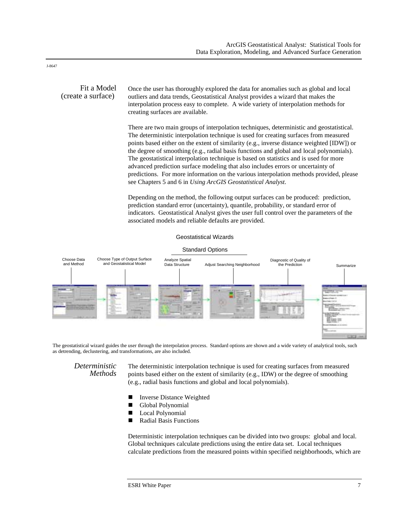#### Fit a Model (create a surface) Once the user has thoroughly explored the data for anomalies such as global and local outliers and data trends, Geostatistical Analyst provides a wizard that makes the interpolation process easy to complete. A wide variety of interpolation methods for creating surfaces are available.

There are two main groups of interpolation techniques, deterministic and geostatistical. The deterministic interpolation technique is used for creating surfaces from measured points based either on the extent of similarity (e.g., inverse distance weighted [IDW]) or the degree of smoothing (e.g., radial basis functions and global and local polynomials). The geostatistical interpolation technique is based on statistics and is used for more advanced prediction surface modeling that also includes errors or uncertainty of predictions. For more information on the various interpolation methods provided, please see Chapters 5 and 6 in *Using ArcGIS Geostatistical Analyst.*

Depending on the method, the following output surfaces can be produced: prediction, prediction standard error (uncertainty), quantile, probability, or standard error of indicators. Geostatistical Analyst gives the user full control over the parameters of the associated models and reliable defaults are provided.

#### Geostatistical Wizards





The geostatistical wizard guides the user through the interpolation process. Standard options are shown and a wide variety of analytical tools, such as detrending, declustering, and transformations, are also included.

*Deterministic Methods*

The deterministic interpolation technique is used for creating surfaces from measured points based either on the extent of similarity (e.g., IDW) or the degree of smoothing (e.g., radial basis functions and global and local polynomials).

- Inverse Distance Weighted
- **II** Global Polynomial
- **Local Polynomial**
- Radial Basis Functions

Deterministic interpolation techniques can be divided into two groups: global and local. Global techniques calculate predictions using the entire data set. Local techniques calculate predictions from the measured points within specified neighborhoods, which are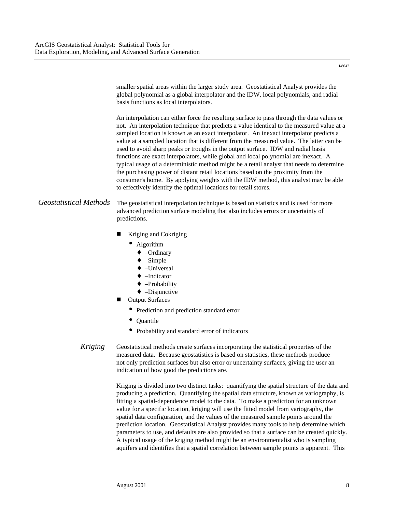smaller spatial areas within the larger study area. Geostatistical Analyst provides the global polynomial as a global interpolator and the IDW, local polynomials, and radial basis functions as local interpolators.

An interpolation can either force the resulting surface to pass through the data values or not. An interpolation technique that predicts a value identical to the measured value at a sampled location is known as an exact interpolator. An inexact interpolator predicts a value at a sampled location that is different from the measured value. The latter can be used to avoid sharp peaks or troughs in the output surface. IDW and radial basis functions are exact interpolators, while global and local polynomial are inexact. A typical usage of a deterministic method might be a retail analyst that needs to determine the purchasing power of distant retail locations based on the proximity from the consumer's home. By applying weights with the IDW method, this analyst may be able to effectively identify the optimal locations for retail stores.

### *Geostatistical Methods* The geostatistical interpolation technique is based on statistics and is used for more advanced prediction surface modeling that also includes errors or uncertainty of predictions.

- ! Kriging and Cokriging
	- Algorithm
		- ♦ –Ordinary
		- $\triangleleft$  –Simple
		- ♦ –Universal
		- ♦ –Indicator
		- ♦ –Probability
		- $\triangleleft$  –Disjunctive
- **Output Surfaces** 
	- Prediction and prediction standard error
	- Quantile
	- Probability and standard error of indicators

#### *Kriging* Geostatistical methods create surfaces incorporating the statistical properties of the measured data. Because geostatistics is based on statistics, these methods produce not only prediction surfaces but also error or uncertainty surfaces, giving the user an indication of how good the predictions are.

Kriging is divided into two distinct tasks: quantifying the spatial structure of the data and producing a prediction. Quantifying the spatial data structure, known as variography, is fitting a spatial-dependence model to the data. To make a prediction for an unknown value for a specific location, kriging will use the fitted model from variography, the spatial data configuration, and the values of the measured sample points around the prediction location. Geostatistical Analyst provides many tools to help determine which parameters to use, and defaults are also provided so that a surface can be created quickly. A typical usage of the kriging method might be an environmentalist who is sampling aquifers and identifies that a spatial correlation between sample points is apparent. This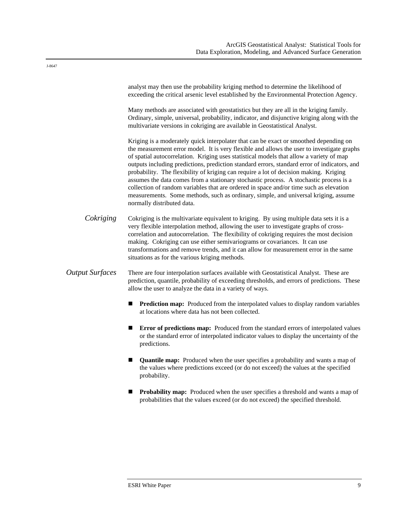|                        | analyst may then use the probability kriging method to determine the likelihood of<br>exceeding the critical arsenic level established by the Environmental Protection Agency.                                                                                                                                                                                                                                                                                                                                                                                                                                                                                                                                                                                                   |  |
|------------------------|----------------------------------------------------------------------------------------------------------------------------------------------------------------------------------------------------------------------------------------------------------------------------------------------------------------------------------------------------------------------------------------------------------------------------------------------------------------------------------------------------------------------------------------------------------------------------------------------------------------------------------------------------------------------------------------------------------------------------------------------------------------------------------|--|
|                        | Many methods are associated with geostatistics but they are all in the kriging family.<br>Ordinary, simple, universal, probability, indicator, and disjunctive kriging along with the<br>multivariate versions in cokriging are available in Geostatistical Analyst.                                                                                                                                                                                                                                                                                                                                                                                                                                                                                                             |  |
|                        | Kriging is a moderately quick interpolater that can be exact or smoothed depending on<br>the measurement error model. It is very flexible and allows the user to investigate graphs<br>of spatial autocorrelation. Kriging uses statistical models that allow a variety of map<br>outputs including predictions, prediction standard errors, standard error of indicators, and<br>probability. The flexibility of kriging can require a lot of decision making. Kriging<br>assumes the data comes from a stationary stochastic process. A stochastic process is a<br>collection of random variables that are ordered in space and/or time such as elevation<br>measurements. Some methods, such as ordinary, simple, and universal kriging, assume<br>normally distributed data. |  |
| Cokriging              | Cokriging is the multivariate equivalent to kriging. By using multiple data sets it is a<br>very flexible interpolation method, allowing the user to investigate graphs of cross-<br>correlation and autocorrelation. The flexibility of cokriging requires the most decision<br>making. Cokriging can use either semivariograms or covariances. It can use<br>transformations and remove trends, and it can allow for measurement error in the same<br>situations as for the various kriging methods.                                                                                                                                                                                                                                                                           |  |
| <b>Output Surfaces</b> | There are four interpolation surfaces available with Geostatistical Analyst. These are<br>prediction, quantile, probability of exceeding thresholds, and errors of predictions. These<br>allow the user to analyze the data in a variety of ways.                                                                                                                                                                                                                                                                                                                                                                                                                                                                                                                                |  |
|                        | <b>Prediction map:</b> Produced from the interpolated values to display random variables<br>■<br>at locations where data has not been collected.                                                                                                                                                                                                                                                                                                                                                                                                                                                                                                                                                                                                                                 |  |
|                        | <b>Error of predictions map:</b> Produced from the standard errors of interpolated values<br>ш<br>or the standard error of interpolated indicator values to display the uncertainty of the<br>predictions.                                                                                                                                                                                                                                                                                                                                                                                                                                                                                                                                                                       |  |
|                        | Quantile map: Produced when the user specifies a probability and wants a map of<br>■<br>the values where predictions exceed (or do not exceed) the values at the specified<br>probability.                                                                                                                                                                                                                                                                                                                                                                                                                                                                                                                                                                                       |  |

! **Probability map:** Produced when the user specifies a threshold and wants a map of probabilities that the values exceed (or do not exceed) the specified threshold.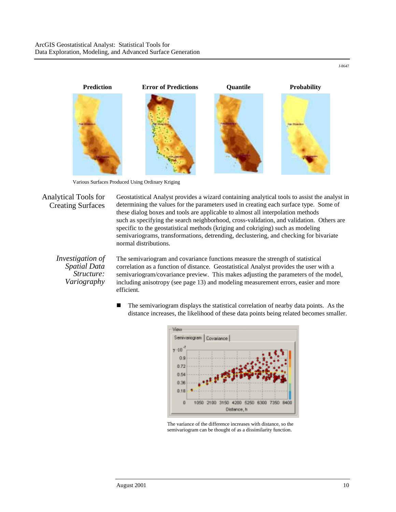

Various Surfaces Produced Using Ordinary Kriging

## Analytical Tools for Creating Surfaces

Geostatistical Analyst provides a wizard containing analytical tools to assist the analyst in determining the values for the parameters used in creating each surface type. Some of these dialog boxes and tools are applicable to almost all interpolation methods such as specifying the search neighborhood, cross-validation, and validation. Others are specific to the geostatistical methods (kriging and cokriging) such as modeling semivariograms, transformations, detrending, declustering, and checking for bivariate normal distributions.

*Investigation of Spatial Data Structure: Variography* 

The semivariogram and covariance functions measure the strength of statistical correlation as a function of distance. Geostatistical Analyst provides the user with a semivariogram/covariance preview. This makes adjusting the parameters of the model, including anisotropy (see page 13) and modeling measurement errors, easier and more efficient.

! The semivariogram displays the statistical correlation of nearby data points. As the distance increases, the likelihood of these data points being related becomes smaller.



The variance of the difference increases with distance, so the semivariogram can be thought of as a dissimilarity function.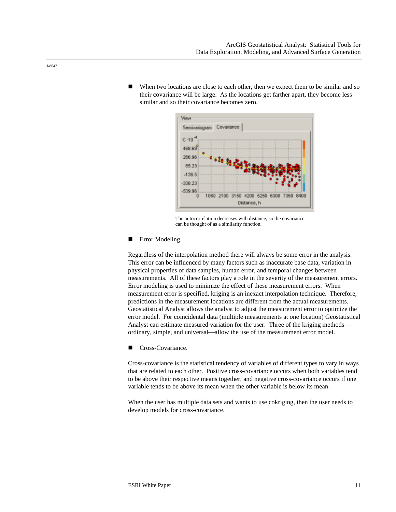When two locations are close to each other, then we expect them to be similar and so their covariance will be large. As the locations get farther apart, they become less similar and so their covariance becomes zero.



The autocorrelation decreases with distance, so the covariance can be thought of as a similarity function.

#### **EXECUTE:** Error Modeling.

Regardless of the interpolation method there will always be some error in the analysis. This error can be influenced by many factors such as inaccurate base data, variation in physical properties of data samples, human error, and temporal changes between measurements. All of these factors play a role in the severity of the measurement errors. Error modeling is used to minimize the effect of these measurement errors. When measurement error is specified, kriging is an inexact interpolation technique. Therefore, predictions in the measurement locations are different from the actual measurements. Geostatistical Analyst allows the analyst to adjust the measurement error to optimize the error model. For coincidental data (multiple measurements at one location) Geostatistical Analyst can estimate measured variation for the user. Three of the kriging methods ordinary, simple, and universal—allow the use of the measurement error model.

■ Cross-Covariance.

Cross-covariance is the statistical tendency of variables of different types to vary in ways that are related to each other. Positive cross-covariance occurs when both variables tend to be above their respective means together, and negative cross-covariance occurs if one variable tends to be above its mean when the other variable is below its mean.

When the user has multiple data sets and wants to use cokriging, then the user needs to develop models for cross-covariance.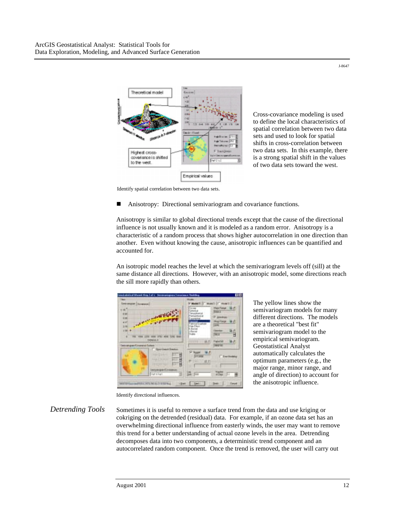

Cross-covariance modeling is used to define the local characteristics of spatial correlation between two data sets and used to look for spatial shifts in cross-correlation between two data sets. In this example, there is a strong spatial shift in the values of two data sets toward the west.

Identify spatial correlation between two data sets.

! Anisotropy: Directional semivariogram and covariance functions.

Anisotropy is similar to global directional trends except that the cause of the directional influence is not usually known and it is modeled as a random error. Anisotropy is a characteristic of a random process that shows higher autocorrelation in one direction than another. Even without knowing the cause, anisotropic influences can be quantified and accounted for.

An isotropic model reaches the level at which the semivariogram levels off (sill) at the same distance all directions. However, with an anisotropic model, some directions reach the sill more rapidly than others.



The yellow lines show the semivariogram models for many different directions. The models are a theoretical "best fit" semivariogram model to the empirical semivariogram. Geostatistical Analyst automatically calculates the optimum parameters (e.g., the major range, minor range, and angle of direction) to account for the anisotropic influence.

Identify directional influences.

*Detrending Tools* Sometimes it is useful to remove a surface trend from the data and use kriging or cokriging on the detrended (residual) data. For example, if an ozone data set has an overwhelming directional influence from easterly winds, the user may want to remove this trend for a better understanding of actual ozone levels in the area. Detrending decomposes data into two components, a deterministic trend component and an autocorrelated random component. Once the trend is removed, the user will carry out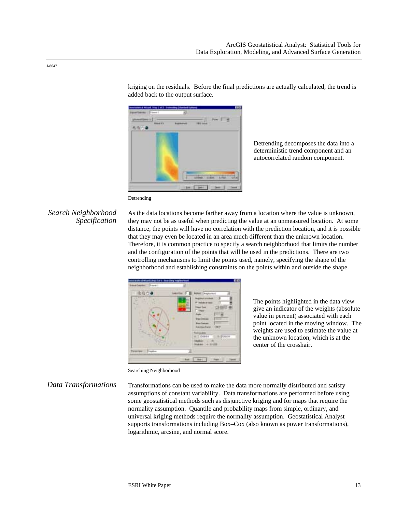

added back to the output surface.

Detrending decomposes the data into a deterministic trend component and an autocorrelated random component.

#### Detrending

### *Search Neighborhood Specification*

As the data locations become farther away from a location where the value is unknown, they may not be as useful when predicting the value at an unmeasured location. At some distance, the points will have no correlation with the prediction location, and it is possible that they may even be located in an area much different than the unknown location. Therefore, it is common practice to specify a search neighborhood that limits the number and the configuration of the points that will be used in the predictions. There are two controlling mechanisms to limit the points used, namely, specifying the shape of the neighborhood and establishing constraints on the points within and outside the shape.

kriging on the residuals. Before the final predictions are actually calculated, the trend is



The points highlighted in the data view give an indicator of the weights (absolute value in percent) associated with each point located in the moving window. The weights are used to estimate the value at the unknown location, which is at the center of the crosshair.

#### Searching Neighborhood

*Data Transformations* Transformations can be used to make the data more normally distributed and satisfy assumptions of constant variability. Data transformations are performed before using some geostatistical methods such as disjunctive kriging and for maps that require the normality assumption. Quantile and probability maps from simple, ordinary, and universal kriging methods require the normality assumption. Geostatistical Analyst supports transformations including Box–Cox (also known as power transformations), logarithmic, arcsine, and normal score.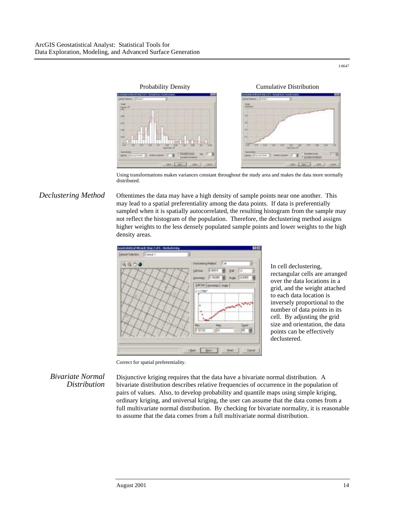

Using transformations makes variances constant throughout the study area and makes the data more normally distributed.

#### *Declustering Method* Oftentimes the data may have a high density of sample points near one another. This may lead to a spatial preferentiality among the data points. If data is preferentially sampled when it is spatially autocorrelated, the resulting histogram from the sample may not reflect the histogram of the population. Therefore, the declustering method assigns higher weights to the less densely populated sample points and lower weights to the high density areas.



In cell declustering, rectangular cells are arranged over the data locations in a grid, and the weight attached to each data location is inversely proportional to the number of data points in its cell. By adjusting the grid size and orientation, the data points can be effectively declustered.

Correct for spatial preferentiality.

*Bivariate Normal Distribution*  Disjunctive kriging requires that the data have a bivariate normal distribution. A bivariate distribution describes relative frequencies of occurrence in the population of pairs of values. Also, to develop probability and quantile maps using simple kriging, ordinary kriging, and universal kriging, the user can assume that the data comes from a full multivariate normal distribution. By checking for bivariate normality, it is reasonable to assume that the data comes from a full multivariate normal distribution.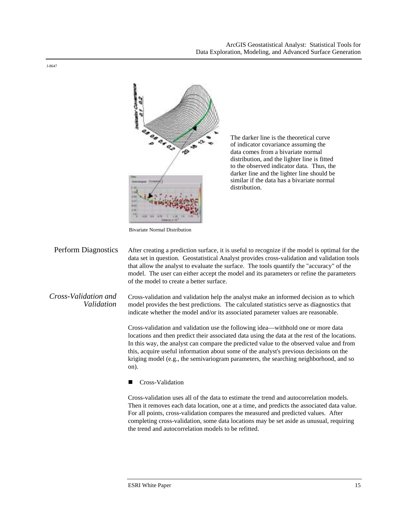

The darker line is the theoretical curve of indicator covariance assuming the data comes from a bivariate normal distribution, and the lighter line is fitted to the observed indicator data. Thus, the darker line and the lighter line should be similar if the data has a bivariate normal distribution.

Bivariate Normal Distribution

Perform Diagnostics After creating a prediction surface, it is useful to recognize if the model is optimal for the data set in question. Geostatistical Analyst provides cross-validation and validation tools that allow the analyst to evaluate the surface. The tools quantify the "accuracy" of the model. The user can either accept the model and its parameters or refine the parameters of the model to create a better surface.

*Cross-Validation and Validation*  Cross-validation and validation help the analyst make an informed decision as to which model provides the best predictions. The calculated statistics serve as diagnostics that indicate whether the model and/or its associated parameter values are reasonable.

> Cross-validation and validation use the following idea—withhold one or more data locations and then predict their associated data using the data at the rest of the locations. In this way, the analyst can compare the predicted value to the observed value and from this, acquire useful information about some of the analyst's previous decisions on the kriging model (e.g., the semivariogram parameters, the searching neighborhood, and so on).

Cross-Validation

Cross-validation uses all of the data to estimate the trend and autocorrelation models. Then it removes each data location, one at a time, and predicts the associated data value. For all points, cross-validation compares the measured and predicted values. After completing cross-validation, some data locations may be set aside as unusual, requiring the trend and autocorrelation models to be refitted.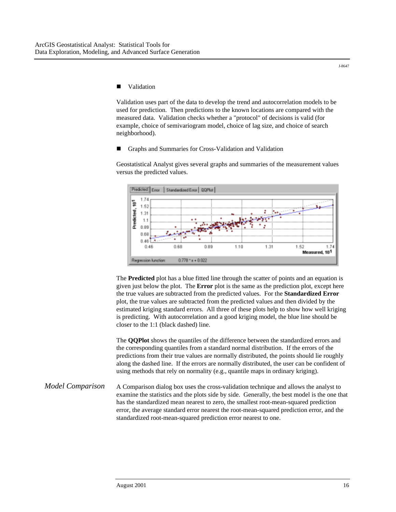J-8647

#### **Validation**

Validation uses part of the data to develop the trend and autocorrelation models to be used for prediction. Then predictions to the known locations are compared with the measured data. Validation checks whether a "protocol" of decisions is valid (for example, choice of semivariogram model, choice of lag size, and choice of search neighborhood).

! Graphs and Summaries for Cross-Validation and Validation

Geostatistical Analyst gives several graphs and summaries of the measurement values versus the predicted values.



The **Predicted** plot has a blue fitted line through the scatter of points and an equation is given just below the plot. The **Error** plot is the same as the prediction plot, except here the true values are subtracted from the predicted values. For the **Standardized Error** plot, the true values are subtracted from the predicted values and then divided by the estimated kriging standard errors. All three of these plots help to show how well kriging is predicting. With autocorrelation and a good kriging model, the blue line should be closer to the 1:1 (black dashed) line.

The **QQPlot** shows the quantiles of the difference between the standardized errors and the corresponding quantiles from a standard normal distribution. If the errors of the predictions from their true values are normally distributed, the points should lie roughly along the dashed line. If the errors are normally distributed, the user can be confident of using methods that rely on normality (e.g., quantile maps in ordinary kriging).

#### *Model Comparison* A Comparison dialog box uses the cross-validation technique and allows the analyst to examine the statistics and the plots side by side. Generally, the best model is the one that has the standardized mean nearest to zero, the smallest root-mean-squared prediction error, the average standard error nearest the root-mean-squared prediction error, and the standardized root-mean-squared prediction error nearest to one.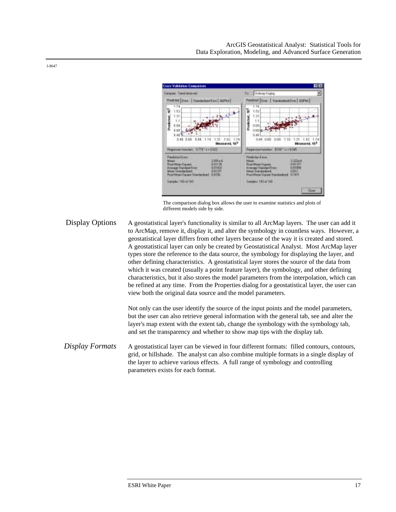

The comparison dialog box allows the user to examine statistics and plots of different models side by side.

Display Options A geostatistical layer's functionality is similar to all ArcMap layers. The user can add it to ArcMap, remove it, display it, and alter the symbology in countless ways. However, a geostatistical layer differs from other layers because of the way it is created and stored. A geostatistical layer can only be created by Geostatistical Analyst. Most ArcMap layer types store the reference to the data source, the symbology for displaying the layer, and other defining characteristics. A geostatistical layer stores the source of the data from which it was created (usually a point feature layer), the symbology, and other defining characteristics, but it also stores the model parameters from the interpolation, which can be refined at any time. From the Properties dialog for a geostatistical layer, the user can view both the original data source and the model parameters.

> Not only can the user identify the source of the input points and the model parameters, but the user can also retrieve general information with the general tab, see and alter the layer's map extent with the extent tab, change the symbology with the symbology tab, and set the transparency and whether to show map tips with the display tab.

*Display Formats* A geostatistical layer can be viewed in four different formats: filled contours, contours, grid, or hillshade. The analyst can also combine multiple formats in a single display of the layer to achieve various effects. A full range of symbology and controlling parameters exists for each format.

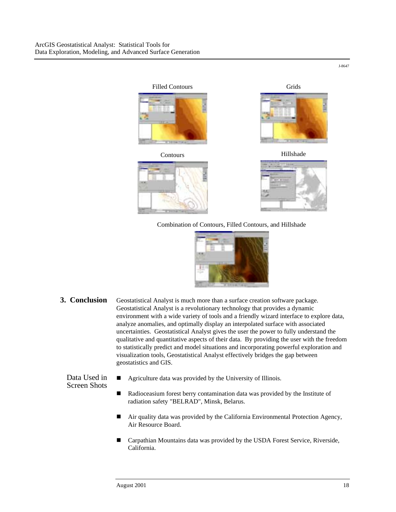

Combination of Contours, Filled Contours, and Hillshade



**3. Conclusion** Geostatistical Analyst is much more than a surface creation software package. Geostatistical Analyst is a revolutionary technology that provides a dynamic environment with a wide variety of tools and a friendly wizard interface to explore data, analyze anomalies, and optimally display an interpolated surface with associated uncertainties. Geostatistical Analyst gives the user the power to fully understand the qualitative and quantitative aspects of their data. By providing the user with the freedom to statistically predict and model situations and incorporating powerful exploration and visualization tools, Geostatistical Analyst effectively bridges the gap between geostatistics and GIS.

Data Used in Screen Shots

- ! Agriculture data was provided by the University of Illinois.
- ! Radioceasium forest berry contamination data was provided by the Institute of radiation safety "BELRAD", Minsk, Belarus.
	- ! Air quality data was provided by the California Environmental Protection Agency, Air Resource Board.
	- Carpathian Mountains data was provided by the USDA Forest Service, Riverside, California.